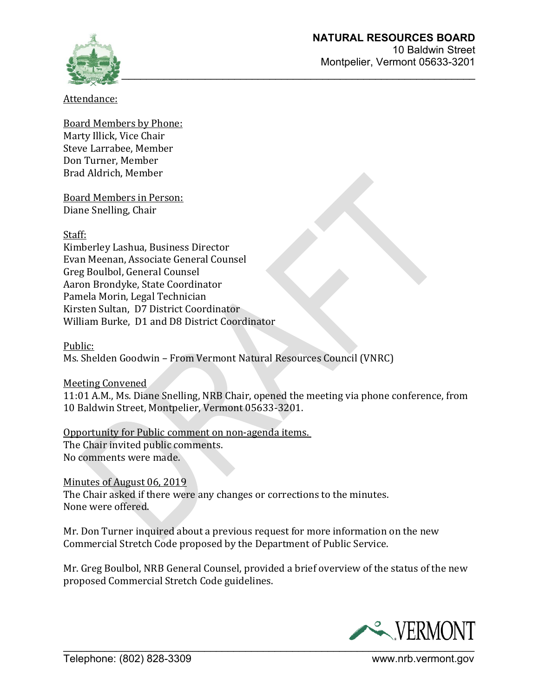

Attendance:

Board Members by Phone: Marty Illick, Vice Chair Steve Larrabee, Member Don Turner, Member Brad Aldrich, Member

Board Members in Person: Diane Snelling, Chair

Staff:

Kimberley Lashua, Business Director Evan Meenan, Associate General Counsel Greg Boulbol, General Counsel Aaron Brondyke, State Coordinator Pamela Morin, Legal Technician Kirsten Sultan, D7 District Coordinator William Burke, D1 and D8 District Coordinator

Public:

Ms. Shelden Goodwin – From Vermont Natural Resources Council (VNRC)

Meeting Convened

11:01 A.M., Ms. Diane Snelling, NRB Chair, opened the meeting via phone conference, from 10 Baldwin Street, Montpelier, Vermont 05633-3201.

Opportunity for Public comment on non-agenda items. The Chair invited public comments. No comments were made.

Minutes of August 06, 2019 The Chair asked if there were any changes or corrections to the minutes. None were offered.

Mr. Don Turner inquired about a previous request for more information on the new Commercial Stretch Code proposed by the Department of Public Service.

Mr. Greg Boulbol, NRB General Counsel, provided a brief overview of the status of the new proposed Commercial Stretch Code guidelines.

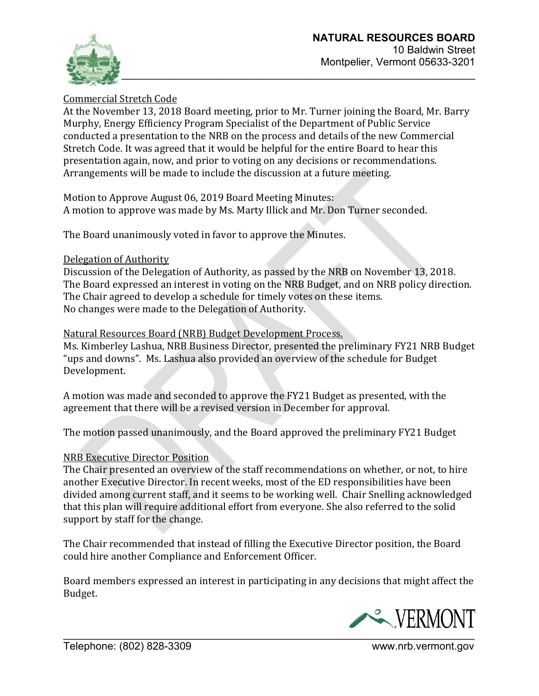

## Commercial Stretch Code

At the November 13, 2018 Board meeting, prior to Mr. Turner joining the Board, Mr. Barry Murphy, Energy Efficiency Program Specialist of the Department of Public Service conducted a presentation to the NRB on the process and details of the new Commercial Stretch Code. It was agreed that it would be helpful for the entire Board to hear this presentation again, now, and prior to voting on any decisions or recommendations. Arrangements will be made to include the discussion at a future meeting.

Motion to Approve August 06, 2019 Board Meeting Minutes: A motion to approve was made by Ms. Marty Illick and Mr. Don Turner seconded.

The Board unanimously voted in favor to approve the Minutes.

#### Delegation of Authority

Discussion of the Delegation of Authority, as passed by the NRB on November 13, 2018. The Board expressed an interest in voting on the NRB Budget, and on NRB policy direction. The Chair agreed to develop a schedule for timely votes on these items. No changes were made to the Delegation of Authority.

#### Natural Resources Board (NRB) Budget Development Process.

Ms. Kimberley Lashua, NRB Business Director, presented the preliminary FY21 NRB Budget "ups and downs". Ms. Lashua also provided an overview of the schedule for Budget Development.

A motion was made and seconded to approve the FY21 Budget as presented, with the agreement that there will be a revised version in December for approval.

The motion passed unanimously, and the Board approved the preliminary FY21 Budget

#### NRB Executive Director Position

The Chair presented an overview of the staff recommendations on whether, or not, to hire another Executive Director. In recent weeks, most of the ED responsibilities have been divided among current staff, and it seems to be working well. Chair Snelling acknowledged that this plan will require additional effort from everyone. She also referred to the solid support by staff for the change.

The Chair recommended that instead of filling the Executive Director position, the Board could hire another Compliance and Enforcement Officer.

Board members expressed an interest in participating in any decisions that might affect the Budget.